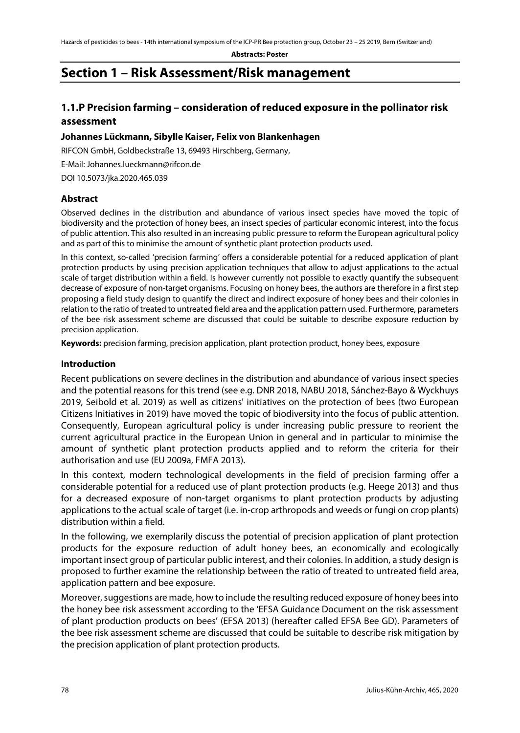# **Section 1 – Risk Assessment/Risk management**

# **1.1.P Precision farming – consideration of reduced exposure in the pollinator risk assessment**

### **Johannes Lückmann, Sibylle Kaiser, Felix von Blankenhagen**

RIFCON GmbH, Goldbeckstraße 13, 69493 Hirschberg, Germany,

E-Mail: Johannes.lueckmann@rifcon.de

DOI 10.5073/jka.2020.465.039

### **Abstract**

Observed declines in the distribution and abundance of various insect species have moved the topic of biodiversity and the protection of honey bees, an insect species of particular economic interest, into the focus of public attention. This also resulted in an increasing public pressure to reform the European agricultural policy and as part of this to minimise the amount of synthetic plant protection products used.

In this context, so-called 'precision farming' offers a considerable potential for a reduced application of plant protection products by using precision application techniques that allow to adjust applications to the actual scale of target distribution within a field. Is however currently not possible to exactly quantify the subsequent decrease of exposure of non-target organisms. Focusing on honey bees, the authors are therefore in a first step proposing a field study design to quantify the direct and indirect exposure of honey bees and their colonies in relation to the ratio of treated to untreated field area and the application pattern used. Furthermore, parameters of the bee risk assessment scheme are discussed that could be suitable to describe exposure reduction by precision application.

**Keywords:** precision farming, precision application, plant protection product, honey bees, exposure

### **Introduction**

Recent publications on severe declines in the distribution and abundance of various insect species and the potential reasons for this trend (see e.g. DNR 2018, NABU 2018, Sánchez-Bayo & Wyckhuys 2019, Seibold et al. 2019) as well as citizens' initiatives on the protection of bees (two European Citizens Initiatives in 2019) have moved the topic of biodiversity into the focus of public attention. Consequently, European agricultural policy is under increasing public pressure to reorient the current agricultural practice in the European Union in general and in particular to minimise the amount of synthetic plant protection products applied and to reform the criteria for their authorisation and use (EU 2009a, FMFA 2013).

In this context, modern technological developments in the field of precision farming offer a considerable potential for a reduced use of plant protection products (e.g. Heege 2013) and thus for a decreased exposure of non-target organisms to plant protection products by adjusting applications to the actual scale of target (i.e. in-crop arthropods and weeds or fungi on crop plants) distribution within a field.

In the following, we exemplarily discuss the potential of precision application of plant protection products for the exposure reduction of adult honey bees, an economically and ecologically important insect group of particular public interest, and their colonies. In addition, a study design is proposed to further examine the relationship between the ratio of treated to untreated field area, application pattern and bee exposure.

Moreover, suggestions are made, how to include the resulting reduced exposure of honey bees into the honey bee risk assessment according to the 'EFSA Guidance Document on the risk assessment of plant production products on bees' (EFSA 2013) (hereafter called EFSA Bee GD). Parameters of the bee risk assessment scheme are discussed that could be suitable to describe risk mitigation by the precision application of plant protection products.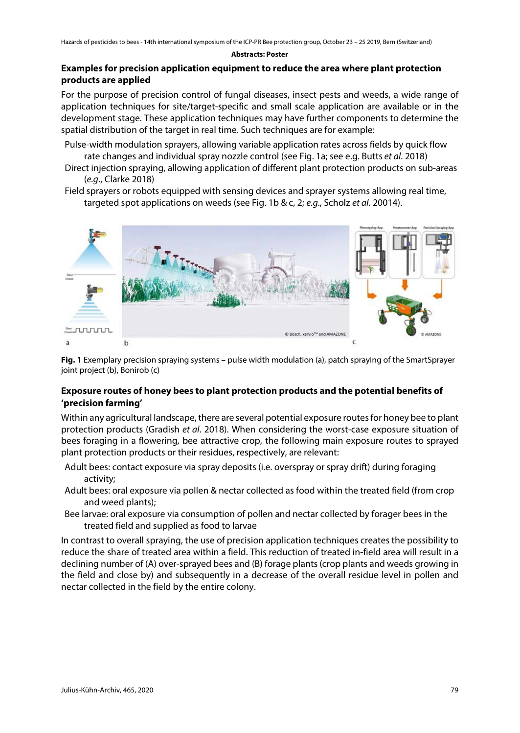# **Examples for precision application equipment to reduce the area where plant protection products are applied**

For the purpose of precision control of fungal diseases, insect pests and weeds, a wide range of application techniques for site/target-specific and small scale application are available or in the development stage. These application techniques may have further components to determine the spatial distribution of the target in real time. Such techniques are for example:

- Pulse-width modulation sprayers, allowing variable application rates across fields by quick flow rate changes and individual spray nozzle control (see Fig. 1a; see e.g. Butts *et al*. 2018)
- Direct injection spraying, allowing application of different plant protection products on sub-areas (*e.g*., Clarke 2018)
- Field sprayers or robots equipped with sensing devices and sprayer systems allowing real time, targeted spot applications on weeds (see Fig. 1b & c, 2; *e.g*., Scholz *et al*. 20014).



**Fig. 1** Exemplary precision spraying systems – pulse width modulation (a), patch spraying of the SmartSprayer joint project (b), Bonirob (c)

# **Exposure routes of honey bees to plant protection products and the potential benefits of 'precision farming'**

Within any agricultural landscape, there are several potential exposure routes for honey bee to plant protection products (Gradish *et al*. 2018). When considering the worst-case exposure situation of bees foraging in a flowering, bee attractive crop, the following main exposure routes to sprayed plant protection products or their residues, respectively, are relevant:

- Adult bees: contact exposure via spray deposits (i.e. overspray or spray drift) during foraging activity;
- Adult bees: oral exposure via pollen & nectar collected as food within the treated field (from crop and weed plants);
- Bee larvae: oral exposure via consumption of pollen and nectar collected by forager bees in the treated field and supplied as food to larvae

In contrast to overall spraying, the use of precision application techniques creates the possibility to reduce the share of treated area within a field. This reduction of treated in-field area will result in a declining number of (A) over-sprayed bees and (B) forage plants (crop plants and weeds growing in the field and close by) and subsequently in a decrease of the overall residue level in pollen and nectar collected in the field by the entire colony.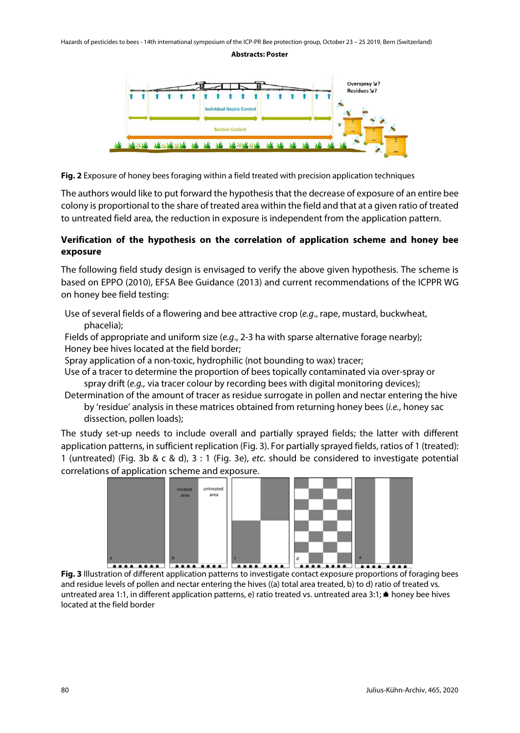

**Fig. 2** Exposure of honey bees foraging within a field treated with precision application techniques

The authors would like to put forward the hypothesis that the decrease of exposure of an entire bee colony is proportional to the share of treated area within the field and that at a given ratio of treated to untreated field area, the reduction in exposure is independent from the application pattern.

### **Verification of the hypothesis on the correlation of application scheme and honey bee exposure**

The following field study design is envisaged to verify the above given hypothesis. The scheme is based on EPPO (2010), EFSA Bee Guidance (2013) and current recommendations of the ICPPR WG on honey bee field testing:

Use of several fields of a flowering and bee attractive crop (*e.g*., rape, mustard, buckwheat, phacelia);

Fields of appropriate and uniform size (*e.g*., 2-3 ha with sparse alternative forage nearby); Honey bee hives located at the field border;

Spray application of a non-toxic, hydrophilic (not bounding to wax) tracer;

Use of a tracer to determine the proportion of bees topically contaminated via over-spray or spray drift (*e.g.,* via tracer colour by recording bees with digital monitoring devices);

Determination of the amount of tracer as residue surrogate in pollen and nectar entering the hive by 'residue' analysis in these matrices obtained from returning honey bees (*i.e.*, honey sac dissection, pollen loads);

The study set-up needs to include overall and partially sprayed fields; the latter with different application patterns, in sufficient replication (Fig. 3). For partially sprayed fields, ratios of 1 (treated): 1 (untreated) (Fig. 3b & c & d), 3 : 1 (Fig. 3e), *etc.* should be considered to investigate potential correlations of application scheme and exposure.



**Fig. 3** Illustration of different application patterns to investigate contact exposure proportions of foraging bees and residue levels of pollen and nectar entering the hives ((a) total area treated, b) to d) ratio of treated vs. untreated area 1:1, in different application patterns, e) ratio treated vs. untreated area 3:1; honey bee hives located at the field border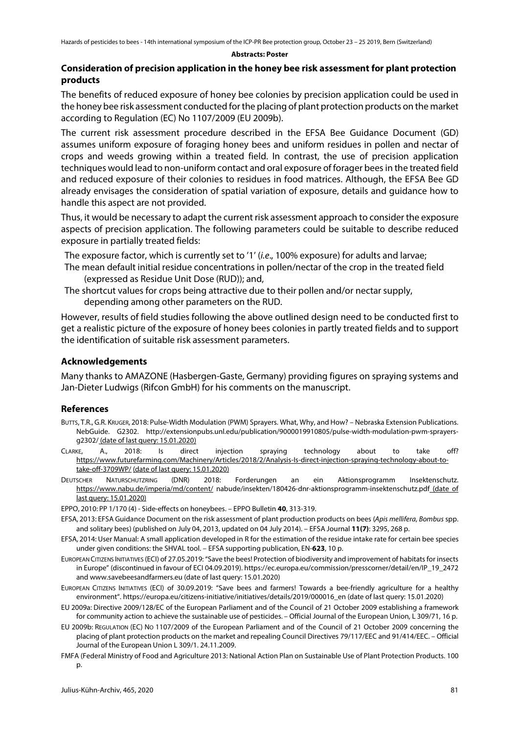### **Consideration of precision application in the honey bee risk assessment for plant protection products**

The benefits of reduced exposure of honey bee colonies by precision application could be used in the honey bee risk assessment conducted for the placing of plant protection products on the market according to Regulation (EC) No 1107/2009 (EU 2009b).

The current risk assessment procedure described in the EFSA Bee Guidance Document (GD) assumes uniform exposure of foraging honey bees and uniform residues in pollen and nectar of crops and weeds growing within a treated field. In contrast, the use of precision application techniques would lead to non-uniform contact and oral exposure of forager bees in the treated field and reduced exposure of their colonies to residues in food matrices. Although, the EFSA Bee GD already envisages the consideration of spatial variation of exposure, details and guidance how to handle this aspect are not provided.

Thus, it would be necessary to adapt the current risk assessment approach to consider the exposure aspects of precision application. The following parameters could be suitable to describe reduced exposure in partially treated fields:

The exposure factor, which is currently set to '1' (*i.e*., 100% exposure) for adults and larvae;

- The mean default initial residue concentrations in pollen/nectar of the crop in the treated field (expressed as Residue Unit Dose (RUD)); and,
- The shortcut values for crops being attractive due to their pollen and/or nectar supply, depending among other parameters on the RUD.

However, results of field studies following the above outlined design need to be conducted first to get a realistic picture of the exposure of honey bees colonies in partly treated fields and to support the identification of suitable risk assessment parameters.

#### **Acknowledgements**

Many thanks to AMAZONE (Hasbergen-Gaste, Germany) providing figures on spraying systems and Jan-Dieter Ludwigs (Rifcon GmbH) for his comments on the manuscript.

#### **References**

- BUTTS, T.R., G.R. KRUGER, 2018: Pulse-Width Modulation (PWM) Sprayers. What, Why, and How? Nebraska Extension Publications. NebGuide. G2302. http://extensionpubs.unl.edu/publication/9000019910805/pulse-width-modulation-pwm-sprayersg2302/ (date of last query: 15.01.2020)
- CLARKE, A., 2018: Is direct injection spraying technology about to take off? [https://www.futurefarming.com/Machinery/Articles/2018/2/Analysis-Is-direct-injection-spraying-technology-about-to](https://www.futurefarming.com/Machinery/Articles/2018/2/Analysis-Is-direct-injection-spraying-technology-about-to-take-off-3709WP/)[take-off-3709WP/](https://www.futurefarming.com/Machinery/Articles/2018/2/Analysis-Is-direct-injection-spraying-technology-about-to-take-off-3709WP/) (date of last query: 15.01.2020)
- DEUTSCHER NATURSCHUTZRING (DNR) 2018: Forderungen an ein Aktionsprogramm Insektenschutz. <https://www.nabu.de/imperia/md/content/> nabude/insekten/180426-dnr-aktionsprogramm-insektenschutz.pdf (date of last query: 15.01.2020)

EPPO, 2010: PP 1/170 (4) - Side-effects on honeybees. – EPPO Bulletin **40**, 313-319.

- EFSA, 2013: EFSA Guidance Document on the risk assessment of plant production products on bees (*Apis mellifera*, *Bombus* spp. and solitary bees) (published on July 04, 2013, updated on 04 July 2014). – EFSA Journal **11(7)**: 3295, 268 p.
- EFSA, 2014: User Manual: A small application developed in R for the estimation of the residue intake rate for certain bee species under given conditions: the SHVAL tool. – EFSA supporting publication, EN-**623**, 10 p.
- EUROPEAN CITIZENS INITIATIVES (ECI) of 27.05.2019: "Save the bees! Protection of biodiversity and improvement of habitats for insects in Europe" (discontinued in favour of ECI 04.09.2019). https://ec.europa.eu/commission/presscorner/detail/en/IP\_19\_2472 and www.savebeesandfarmers.eu (date of last query: 15.01.2020)
- EUROPEAN CITIZENS INITIATIVES (ECI) of 30.09.2019: "Save bees and farmers! Towards a bee-friendly agriculture for a healthy environment". https://europa.eu/citizens-initiative/initiatives/details/2019/000016\_en (date of last query: 15.01.2020)
- EU 2009a: Directive 2009/128/EC of the European Parliament and of the Council of 21 October 2009 establishing a framework for community action to achieve the sustainable use of pesticides. – Official Journal of the European Union, L 309/71, 16 p.
- EU 2009b: REGULATION (EC) NO 1107/2009 of the European Parliament and of the Council of 21 October 2009 concerning the placing of plant protection products on the market and repealing Council Directives 79/117/EEC and 91/414/EEC. – Official Journal of the European Union L 309/1. 24.11.2009.
- FMFA (Federal Ministry of Food and Agriculture 2013: National Action Plan on Sustainable Use of Plant Protection Products. 100 p.